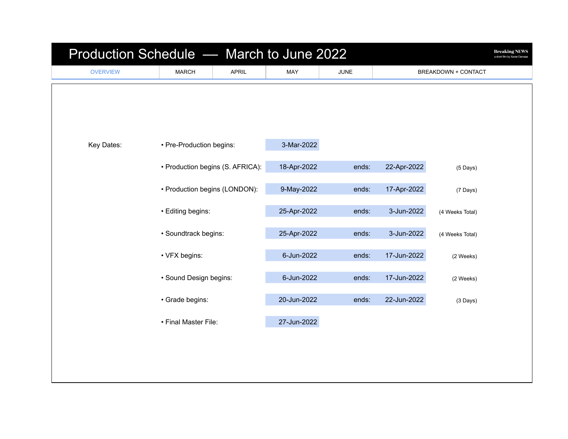| Production Schedule - March to June 2022<br><b>Breaking NEWS</b><br>a short film by Xavier Damase |                                                                                                                                                                  |              |             |             |                     |                 |  |  |  |
|---------------------------------------------------------------------------------------------------|------------------------------------------------------------------------------------------------------------------------------------------------------------------|--------------|-------------|-------------|---------------------|-----------------|--|--|--|
| <b>OVERVIEW</b>                                                                                   | <b>MARCH</b>                                                                                                                                                     | <b>APRIL</b> | MAY         | <b>JUNE</b> | BREAKDOWN + CONTACT |                 |  |  |  |
|                                                                                                   |                                                                                                                                                                  |              |             |             |                     |                 |  |  |  |
| Key Dates:                                                                                        | • Pre-Production begins:                                                                                                                                         |              | 3-Mar-2022  |             |                     |                 |  |  |  |
|                                                                                                   | • Production begins (S. AFRICA):                                                                                                                                 |              | 18-Apr-2022 | ends:       | 22-Apr-2022         | (5 Days)        |  |  |  |
|                                                                                                   | • Production begins (LONDON):<br>• Editing begins:<br>· Soundtrack begins:<br>• VFX begins:<br>· Sound Design begins:<br>· Grade begins:<br>• Final Master File: |              | 9-May-2022  | ends:       | 17-Apr-2022         | (7 Days)        |  |  |  |
|                                                                                                   |                                                                                                                                                                  |              | 25-Apr-2022 | ends:       | 3-Jun-2022          | (4 Weeks Total) |  |  |  |
|                                                                                                   |                                                                                                                                                                  |              | 25-Apr-2022 | ends:       | 3-Jun-2022          | (4 Weeks Total) |  |  |  |
|                                                                                                   |                                                                                                                                                                  |              | 6-Jun-2022  | ends:       | 17-Jun-2022         | (2 Weeks)       |  |  |  |
|                                                                                                   |                                                                                                                                                                  |              | 6-Jun-2022  | ends:       | 17-Jun-2022         | (2 Weeks)       |  |  |  |
|                                                                                                   |                                                                                                                                                                  |              | 20-Jun-2022 | ends:       | 22-Jun-2022         | $(3$ Days)      |  |  |  |
|                                                                                                   |                                                                                                                                                                  |              | 27-Jun-2022 |             |                     |                 |  |  |  |
|                                                                                                   |                                                                                                                                                                  |              |             |             |                     |                 |  |  |  |
|                                                                                                   |                                                                                                                                                                  |              |             |             |                     |                 |  |  |  |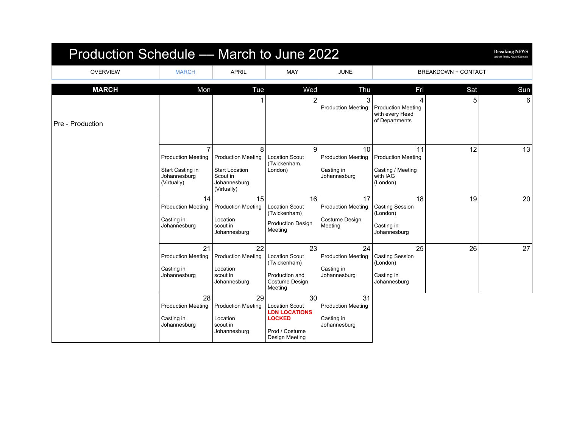| Production Schedule — March to June 2022 |                                                                                   |                                                                                                    |                                                                                                          |                                                               |                                                                              |                            | <b>Breaking NEWS</b><br>a short film by Xavier Damase |
|------------------------------------------|-----------------------------------------------------------------------------------|----------------------------------------------------------------------------------------------------|----------------------------------------------------------------------------------------------------------|---------------------------------------------------------------|------------------------------------------------------------------------------|----------------------------|-------------------------------------------------------|
| <b>OVERVIEW</b>                          | <b>MARCH</b>                                                                      | <b>APRIL</b>                                                                                       | <b>MAY</b>                                                                                               | <b>JUNE</b>                                                   |                                                                              | <b>BREAKDOWN + CONTACT</b> |                                                       |
| <b>MARCH</b>                             | Mon                                                                               | Tue                                                                                                | Wed                                                                                                      | Thu                                                           | Fri                                                                          | Sat                        | Sun                                                   |
| Pre - Production                         |                                                                                   |                                                                                                    | $\overline{2}$                                                                                           | 3<br><b>Production Meeting</b>                                | 4<br><b>Production Meeting</b><br>with every Head<br>of Departments          | 5                          | $6 \mid$                                              |
|                                          | 7<br><b>Production Meeting</b><br>Start Casting in<br>Johannesburg<br>(Virtually) | 8<br><b>Production Meeting</b><br><b>Start Location</b><br>Scout in<br>Johannesburg<br>(Virtually) | 9<br><b>Location Scout</b><br>(Twickenham,<br>London)                                                    | 10<br><b>Production Meeting</b><br>Casting in<br>Johannesburg | 11<br><b>Production Meeting</b><br>Casting / Meeting<br>with IAG<br>(London) | 12                         | 13                                                    |
|                                          | 14<br><b>Production Meeting</b><br>Casting in<br>Johannesburg                     | 15<br><b>Production Meeting</b><br>Location<br>scout in<br>Johannesburg                            | 16<br><b>Location Scout</b><br>(Twickenham)<br><b>Production Design</b><br>Meeting                       | 17<br><b>Production Meeting</b><br>Costume Design<br>Meeting  | 18<br><b>Casting Session</b><br>(London)<br>Casting in<br>Johannesburg       | 19                         | 20                                                    |
|                                          | 21<br><b>Production Meeting</b><br>Casting in<br>Johannesburg                     | 22<br><b>Production Meeting</b><br>Location<br>scout in<br>Johannesburg                            | 23<br><b>Location Scout</b><br>(Twickenham)<br>Production and<br>Costume Design<br>Meeting               | 24<br><b>Production Meeting</b><br>Casting in<br>Johannesburg | 25<br><b>Casting Session</b><br>(London)<br>Casting in<br>Johannesburg       | 26                         | 27                                                    |
|                                          | 28<br><b>Production Meeting</b><br>Casting in<br>Johannesburg                     | 29<br><b>Production Meeting</b><br>Location<br>scout in<br>Johannesburg                            | 30<br><b>Location Scout</b><br><b>LDN LOCATIONS</b><br><b>LOCKED</b><br>Prod / Costume<br>Design Meeting | 31<br><b>Production Meeting</b><br>Casting in<br>Johannesburg |                                                                              |                            |                                                       |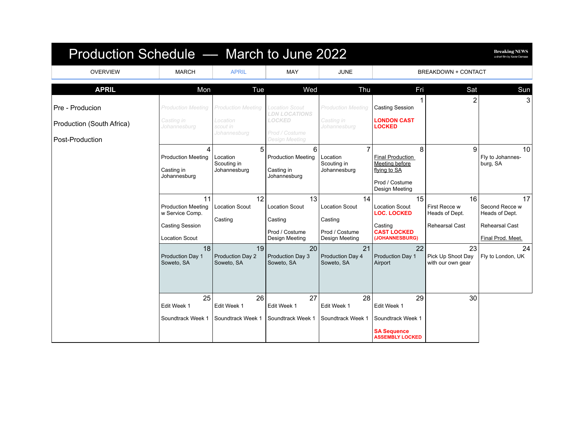| Production Schedule - March to June 2022 |                                                              |                                              |                                                              |                                             |                                                                |                                              | <b>Breaking NEWS</b><br>a short film by Xavier Damase |
|------------------------------------------|--------------------------------------------------------------|----------------------------------------------|--------------------------------------------------------------|---------------------------------------------|----------------------------------------------------------------|----------------------------------------------|-------------------------------------------------------|
| <b>OVERVIEW</b>                          | <b>MARCH</b>                                                 | <b>APRIL</b>                                 | <b>MAY</b>                                                   | <b>JUNE</b>                                 |                                                                | <b>BREAKDOWN + CONTACT</b>                   |                                                       |
| <b>APRIL</b>                             | Mon                                                          | Tue                                          | Wed                                                          | Thu                                         | Fri                                                            | Sat                                          | Sun                                                   |
| Pre - Producion                          | <b>Production Meeting</b>                                    | <b>Production Meeting</b>                    | <b>Location Scout</b><br><b>LDN LOCATIONS</b>                | <b>Production Meeting</b>                   | <b>Casting Session</b>                                         | 2                                            | 3                                                     |
| Production (South Africa)                | Casting in<br>Johannesburg                                   | Location<br>scout in<br>Johannesburg         | <b>LOCKED</b><br>Prod / Costume                              | Casting in<br>Johannesburg                  | <b>LONDON CAST</b><br>LOCKED                                   |                                              |                                                       |
| Post-Production                          |                                                              |                                              | <b>Design Meeting</b>                                        |                                             |                                                                |                                              |                                                       |
|                                          | 4<br><b>Production Meeting</b><br>Casting in<br>Johannesburg | 5<br>Location<br>Scouting in<br>Johannesburg | 6<br><b>Production Meeting</b><br>Casting in<br>Johannesburg | Location<br>Scouting in<br>Johannesburg     | 8<br><b>Final Production</b><br>Meeting before<br>flying to SA | 9                                            | 10 <sup>1</sup><br>Fly to Johannes-<br>burg, SA       |
|                                          |                                                              |                                              |                                                              |                                             | Prod / Costume<br>Design Meeting                               |                                              |                                                       |
|                                          | 11<br><b>Production Meeting</b><br>w Service Comp.           | 12<br><b>Location Scout</b>                  | 13<br><b>Location Scout</b>                                  | 14<br><b>Location Scout</b>                 | 15<br><b>Location Scout</b><br><b>LOC. LOCKED</b>              | 16<br>First Recce w<br>Heads of Dept.        | 17 <sup>1</sup><br>Second Recce w<br>Heads of Dept.   |
|                                          | <b>Casting Session</b><br><b>Location Scout</b>              | Casting                                      | Casting<br>Prod / Costume<br>Design Meeting                  | Casting<br>Prod / Costume<br>Design Meeting | Casting<br><b>CAST LOCKED</b><br>(JOHANNESBURG)                | <b>Rehearsal Cast</b>                        | Rehearsal Cast<br>Final Prod. Meet.                   |
|                                          | 18<br><b>Production Day 1</b><br>Soweto, SA                  | 19<br>Production Day 2<br>Soweto, SA         | 20<br>Production Day 3<br>Soweto, SA                         | 21<br>Production Day 4<br>Soweto, SA        | 22<br>Production Day 1<br>Airport                              | 23<br>Pick Up Shoot Day<br>with our own gear | 24<br>Fly to London, UK                               |
|                                          | 25<br>Edit Week 1<br>Soundtrack Week 1                       | 26<br>Edit Week 1<br>Soundtrack Week 1       | 27<br>Edit Week 1<br>Soundtrack Week 1                       | 28<br>Edit Week 1<br>Soundtrack Week 1      | 29<br>Edit Week 1<br>Soundtrack Week 1<br><b>SA Sequence</b>   | 30                                           |                                                       |
|                                          |                                                              |                                              |                                                              |                                             | <b>ASSEMBLY LOCKED</b>                                         |                                              |                                                       |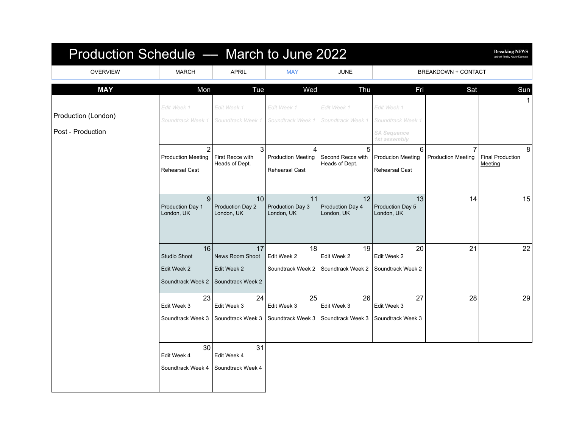| Production Schedule - March to June 2022 |                                                               |                                                           |                                                  |                                          |                                                                        |                                             | <b>Breaking NEWS</b><br>a short film by Xavier Damase |
|------------------------------------------|---------------------------------------------------------------|-----------------------------------------------------------|--------------------------------------------------|------------------------------------------|------------------------------------------------------------------------|---------------------------------------------|-------------------------------------------------------|
| <b>OVERVIEW</b>                          | <b>MARCH</b>                                                  | <b>APRIL</b>                                              | <b>MAY</b>                                       | <b>JUNE</b>                              |                                                                        | <b>BREAKDOWN + CONTACT</b>                  |                                                       |
| <b>MAY</b>                               | Mon                                                           | Tue                                                       | Wed                                              | Thu                                      | Fri                                                                    | Sat                                         | Sun                                                   |
| Production (London)<br>Post - Production | Edit Week 1<br>Soundtrack Week 1                              | Edit Week 1<br>Soundtrack Week 1                          | Edit Week 1<br>Soundtrack Week 1                 | Edit Week 1<br>Soundtrack Week           | Edit Week 1<br>Soundtrack Week 1<br><b>SA Sequence</b><br>1st assembly |                                             |                                                       |
|                                          | $\overline{2}$<br><b>Production Meeting</b><br>Rehearsal Cast | 3<br>First Recce with<br>Heads of Dept.                   | 4<br><b>Production Meeting</b><br>Rehearsal Cast | 5<br>Second Recce with<br>Heads of Dept. | 6<br><b>Producion Meeting</b><br><b>Rehearsal Cast</b>                 | $\overline{7}$<br><b>Production Meeting</b> | 8<br><b>Final Production</b><br>Meeting               |
|                                          | 9<br>Production Day 1<br>London, UK                           | 10<br>Production Day 2<br>London, UK                      | 11<br>Production Day 3<br>London, UK             | 12<br>Production Day 4<br>London, UK     | 13<br>Production Day 5<br>London, UK                                   | 14                                          | 15                                                    |
|                                          | 16<br><b>Studio Shoot</b><br>Edit Week 2<br>Soundtrack Week 2 | 17<br>News Room Shoot<br>Edit Week 2<br>Soundtrack Week 2 | 18<br>Edit Week 2<br>Soundtrack Week 2           | 19<br>Edit Week 2<br>Soundtrack Week 2   | 20<br>Edit Week 2<br>Soundtrack Week 2                                 | 21                                          | 22                                                    |
|                                          | 23<br>Edit Week 3<br>Soundtrack Week 3                        | 24<br>Edit Week 3<br>Soundtrack Week 3                    | 25<br>Edit Week 3<br>Soundtrack Week 3           | 26<br>Edit Week 3<br>Soundtrack Week 3   | 27<br>Edit Week 3<br>Soundtrack Week 3                                 | 28                                          | 29                                                    |
|                                          | 30<br>Edit Week 4<br>Soundtrack Week 4                        | 31<br>Edit Week 4<br>Soundtrack Week 4                    |                                                  |                                          |                                                                        |                                             |                                                       |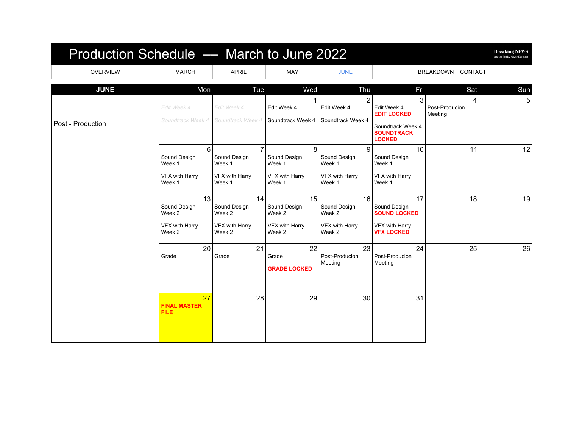| Production Schedule - March to June 2022 |                                                          |                                                                      |                                                          |                                                          |                                                                                                   |                                | <b>Breaking NEWS</b><br>a short film by Xavier Damase |
|------------------------------------------|----------------------------------------------------------|----------------------------------------------------------------------|----------------------------------------------------------|----------------------------------------------------------|---------------------------------------------------------------------------------------------------|--------------------------------|-------------------------------------------------------|
| <b>OVERVIEW</b>                          | <b>MARCH</b>                                             | <b>APRIL</b>                                                         | MAY                                                      | <b>JUNE</b>                                              |                                                                                                   | BREAKDOWN + CONTACT            |                                                       |
| <b>JUNE</b>                              | Mon                                                      | Tue                                                                  | Wed                                                      | Thu                                                      | Fri                                                                                               | Sat                            | Sun                                                   |
| Post - Production                        | Edit Week 4<br>Soundtrack Week 4                         | Edit Week 4<br>Soundtrack Week 4                                     | Edit Week 4<br>Soundtrack Week 4                         | $\overline{2}$<br>Edit Week 4<br>Soundtrack Week 4       | 3<br>Edit Week 4<br><b>EDIT LOCKED</b><br>Soundtrack Week 4<br><b>SOUNDTRACK</b><br><b>LOCKED</b> | 4<br>Post-Producion<br>Meeting | 5                                                     |
|                                          | 6<br>Sound Design<br>Week 1<br>VFX with Harry<br>Week 1  | $\overline{7}$<br>Sound Design<br>Week 1<br>VFX with Harry<br>Week 1 | 8<br>Sound Design<br>Week 1<br>VFX with Harry<br>Week 1  | 9<br>Sound Design<br>Week 1<br>VFX with Harry<br>Week 1  | 10<br>Sound Design<br>Week 1<br>VFX with Harry<br>Week 1                                          | 11                             | 12 <sup>1</sup>                                       |
|                                          | 13<br>Sound Design<br>Week 2<br>VFX with Harry<br>Week 2 | 14<br>Sound Design<br>Week 2<br>VFX with Harry<br>Week 2             | 15<br>Sound Design<br>Week 2<br>VFX with Harry<br>Week 2 | 16<br>Sound Design<br>Week 2<br>VFX with Harry<br>Week 2 | 17<br>Sound Design<br><b>SOUND LOCKED</b><br>VFX with Harry<br><b>VFX LOCKED</b>                  | 18                             | 19                                                    |
|                                          | 20<br>Grade                                              | 21<br>Grade                                                          | 22<br>Grade<br><b>GRADE LOCKED</b>                       | 23<br>Post-Producion<br>Meeting                          | 24<br>Post-Producion<br>Meeting                                                                   | 25                             | 26                                                    |
|                                          | 27<br><b>FINAL MASTER</b><br><b>FILE</b>                 | 28                                                                   | 29                                                       | 30                                                       | 31                                                                                                |                                |                                                       |